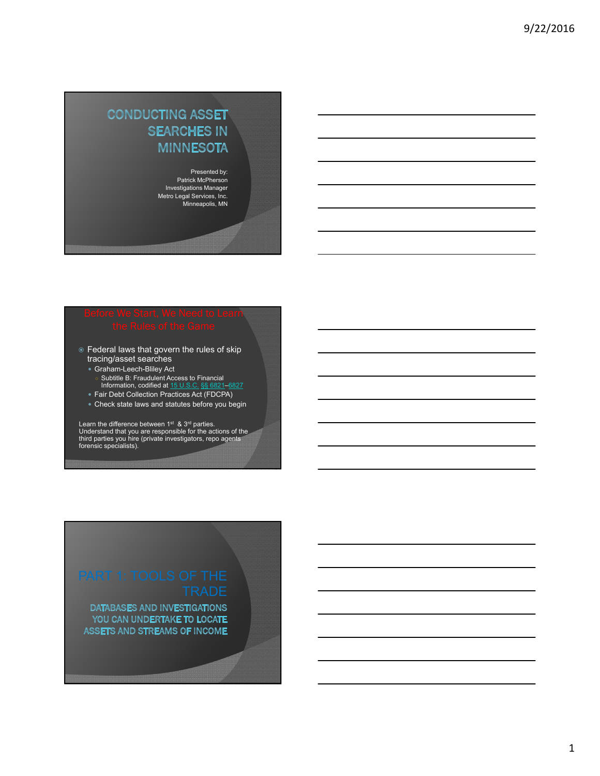## **CONDUCTING ASSET SEARCHES IN MINNESOTA**

Presented by: Patrick McPherson Investigations Manager Metro Legal Services, Inc. Minneapolis, MN

- $\circ$  Federal laws that govern the rules of skip tracing/asset searches
	- Graham-Leech-Bliley Act
	- Subtitle B: Fraudulent Access to Financial<br>Information, codified at <u>15 U.S.C. §§ 6821–6827</u>
	- Fair Debt Collection Practices Act (FDCPA)
	- Check state laws and statutes before you begin

Learn the difference between 1<sup>st</sup> & 3<sup>rd</sup> parties.<br>Understand that you are responsible for the actions of the<br>third parties you hire (private investigators, repo agents<br>forensic specialists).

DATABASES AND INVESTIGATIONS YOU CAN UNDERTAKE TO LOCATE **ASSETS AND STREAMS OF INCOME**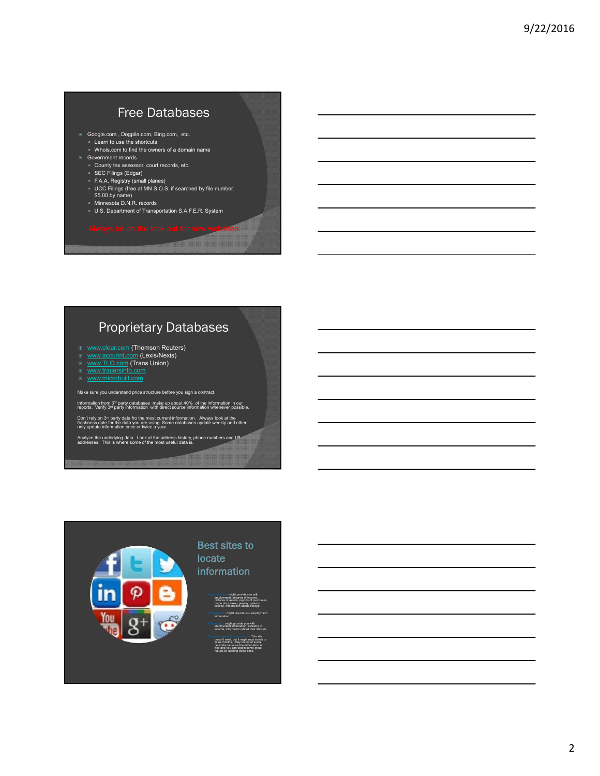## Free Databases

- Google.com , Dogpile.com, Bing.com, etc. Learn to use the shortcuts
	- Whois.com to find the owners of a domain name Government records
	- County tax assessor, court records, etc.
	- SEC Filings (Edgar)
	- F.A.A. Registry (small planes)
	- UCC Filings (free at MN S.O.S. if searched by file number. \$5.00 by name)
	- Minnesota D.N.R. records
	- U.S. Department of Transportation S.A.F.E.R. System

## Proprietary Databases

- www.clear.com (Thomson Reuters) www.accurint.com (Lexis/Nexis) www.TLO.com (Trans Union)
- 
- 
- ◎ www.microbuilt.com

Make sure you understand price structure before you sign a contract.

Information from 3<sup>rd</sup> party databases make up about 40% of the information in our reports. Verify 3<sup>rd</sup> party information with direct source information whenever possible.

Don't rely on 3<sup>rd</sup> party data fro the most current information. Always look at the freshness date for the data you are using. Some databases update weekly and other only update information once or twice a year.

Analyze the underlying data. Look at the address history, phone numbers and I.P. addresses. This is where some of the most useful data is.

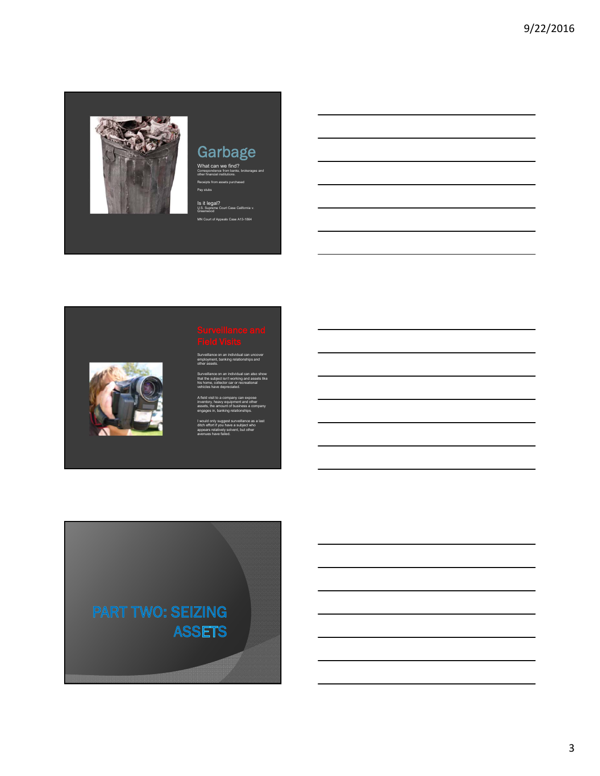

# Garbage

What can we find? Correspondence from banks, brokerages and other financial institutions. Receipts from assets purchased Pay stubs

Is it legal? U.S. Supreme Court Case California v. Greenwood MN Court of Appeals Case A13-1864



Surveillance on an individual can uncover employment, banking relationships and other assets.

Surveillance on an individual can also show that the subject isn't working and assets like his home, collector car or recreational vehicles have depreciated.

A field visit to a company can expose inventory, heavy equipment and other assets, the amount of business a company engages in, banking relationships.

I would only suggest surveillance as a last ditch effort if you have a subject who appears relatively solvent, but other avenues have failed.

**PART TWO: SEIZING ASSETS**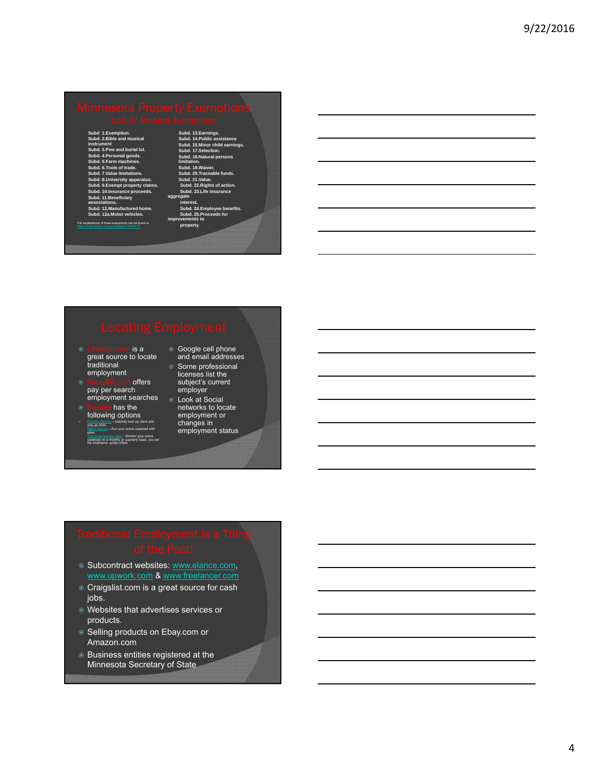**Subd 1.Exemption. Subd. 2.Bible and musical instrument Subd. 3.Pew and burial lot. Subd. 4.Personal goods. Subd. 5.Farm machines. Subd. 6.Tools of trade. Subd. 7.Value limitations. Subd. 8.University apparatus. Subd. 9.Exempt property claims. Subd. 10.Insurance proceeds. Subd. 11.Beneficiary associations. Subd. 12.Manufactured home. Subd. 12a.Motor vehicles.**

**Subd. 13.Earn Subd. 14.Public assistance Subd. 15.Minor child earnings. Subd. 17.Selection. Subd. 18.Natural persons limitation. Subd. 19.Waiver. Subd. 20.Traceable funds. Subd. 21.Value. Subd. 22.Rights of action. Subd. 23.Life insurance aggregate interest. Subd. 24.Employee benefits. Subd. 25.Proceeds for improvements to** 

rty.

### .<br>Ins of these exe

- <u>lin com is a</u> great source to locate traditional employment
- offers pay per search employment searches o Look at Social
- $\epsilon$  has the following options Express Service – Instantly look up client with only an SSN. Batch Service – Run your entire caseload with
- ease. The Work Number Alert – Monitor your entire caseload on a monthly or quarterly basis, you set the timeframe. quifax offers:
- Google cell phone and email addresses ● Some professional **Some profession**<br>licenses list the<br>subject's current
- subject's current employer networks to locate
- employment or changes in employment status

- **Subcontract websites: www.elance.com,** www.upwork.com & www.freelancer.com
- Craigslist.com is a great source for cash jobs.
- Websites that advertises services or products.
- Selling products on Ebay.com or Amazon.com
- Business entities registered at the Minnesota Secretary of State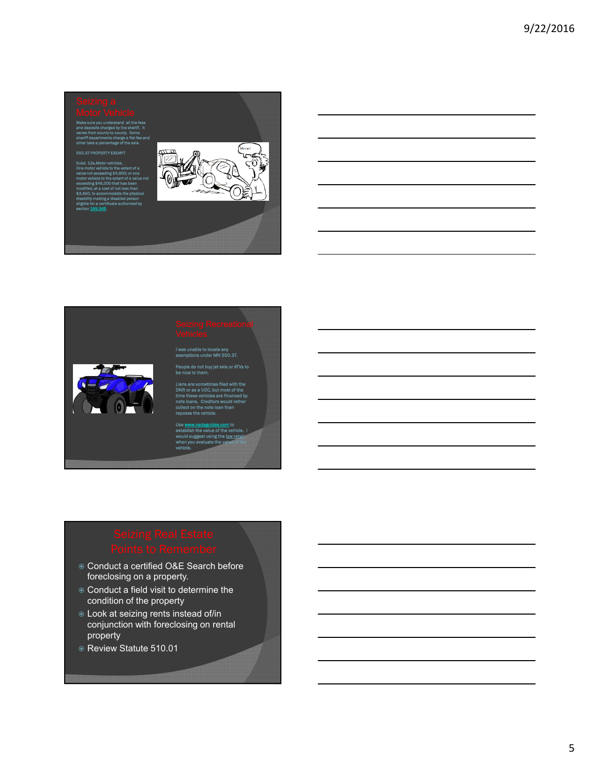Make sure you understand all the fees and deposits charged by the sheriff. It

varies from county to county. Some sheriff departments charge a flat fee and other take a percentage of the sale.

### 550.37 PROPERTY EXEMPT

Subd. 12a.Motor vehicles. One motor vehicle to the extent of a value not exceeding \$4,600; or one motor vehicle to the extent of a value not exceeding \$46,000 that has been modified, at a cost of not less than \$3,450, to accommodate the physical disability making a disabled person eligible for a certificate authorized by section **169.345.** 



le to loc te any<br>IN 550.37.



### Jy jet skis or ATVs to be nice to them.

Liens are sometimes filed with the DNR or as a UCC, but most of the time these vehicles are financed by note loans. Creditors would rather collect on the note loan than reposes the vehicle.

Use **www.nadaguides.com** to establish the value of the vehicle. I would suggest using the low retail when you evaluate the value of the vehicle.

- $\circ$  Conduct a certified O&E Search before foreclosing on a property.
- Conduct a field visit to determine the condition of the property
- Look at seizing rents instead of/in conjunction with foreclosing on rental property
- Review Statute 510.01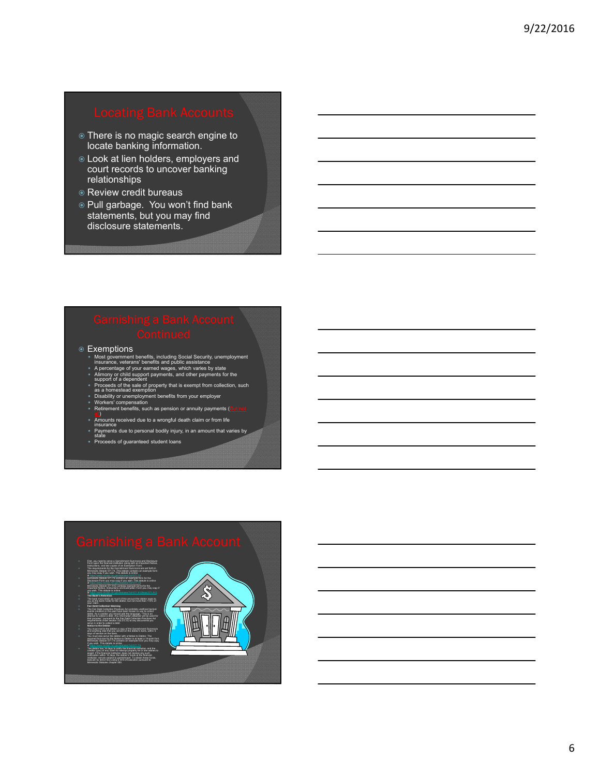- There is no magic search engine to locate banking information.
- Look at lien holders, employers and court records to uncover banking relationships
- Review credit bureaus
- Pull garbage. You won't find bank statements, but you may find disclosure statements.

- **Exemptions** 
	-
	-
	- **INOSt government benefits, including Social Security, unemployment**<br>
	insurance, veterans' benefits and public assistance<br>
	A percentage of your earned wages, which varies by state<br>
	4 Almony or child support payments, and o
	-
	-
	- Amounts received due to a wrongful death claim or from life insurance
	- Payments due to personal bodily injury, in an amount that varies by state
	- Proceeds of guaranteed student loans

- mentment summons<br>ution along with an in<br>of an Exemption Form
- Form upon the financial institution along with an important Notice,<br>International two copies of an Exemption Form.<br>The requirements for the Gamishment Summons are set forth in<br>Minnesota Statute 571.74. This statute contain
- Minnesota Statute 571.75 contains an example form for the Disclosure Form you may copy if you wish. This stable is online<br>at https://www.revisor.org/2000/2000/2000/2012/15<br>Minnescka Stable 571.912 contains example forms for the<br>Important Notice. Instructions and Exemption Form yo
- **The Bank's Retention** The bank must retain as much of the amount the debtor owes to you as the bank holds for the debtor, but not more than 110% of
- your claim.
- Fair Debt Collection Warning<br>The Fair Debt Collection Practices Act providels uneflicat lactical<br>option: Auto concellor producted and the language. This debt of<br>alternative collect a debt. Any information offstation will b
- **Notice to the Debtor** You must mail to the debtor a copy of the Garnishment Summons and anything else that you served on the debtor's bank, within 5
- 
- days of series on the back will be therefore to clear. The control of the control of the control of the control of the control of the control of the control of the control of the control of the control of the control of th